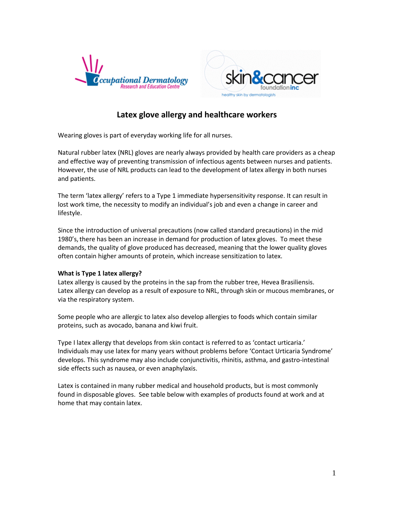



# **Latex glove allergy and healthcare workers**

Wearing gloves is part of everyday working life for all nurses.

Natural rubber latex (NRL) gloves are nearly always provided by health care providers as a cheap and effective way of preventing transmission of infectious agents between nurses and patients. However, the use of NRL products can lead to the development of latex allergy in both nurses and patients.

The term 'latex allergy' refers to a Type 1 immediate hypersensitivity response. It can result in lost work time, the necessity to modify an individual's job and even a change in career and lifestyle.

Since the introduction of universal precautions (now called standard precautions) in the mid 1980's,there has been an increase in demand for production of latex gloves. To meet these demands, the quality of glove produced has decreased, meaning that the lower quality gloves often contain higher amounts of protein, which increase sensitization to latex.

#### **What is Type 1 latex allergy?**

Latex allergy is caused by the proteins in the sap from the rubber tree, Hevea Brasiliensis. Latex allergy can develop as a result of exposure to NRL, through skin or mucous membranes, or via the respiratory system.

Some people who are allergic to latex also develop allergies to foods which contain similar proteins, such as avocado, banana and kiwi fruit.

Type I latex allergy that develops from skin contact is referred to as 'contact urticaria.' Individuals may use latex for many years without problems before 'Contact Urticaria Syndrome' develops. This syndrome may also include conjunctivitis, rhinitis, asthma, and gastro-intestinal side effects such as nausea, or even anaphylaxis.

Latex is contained in many rubber medical and household products, but is most commonly found in disposable gloves. See table below with examples of products found at work and at home that may contain latex.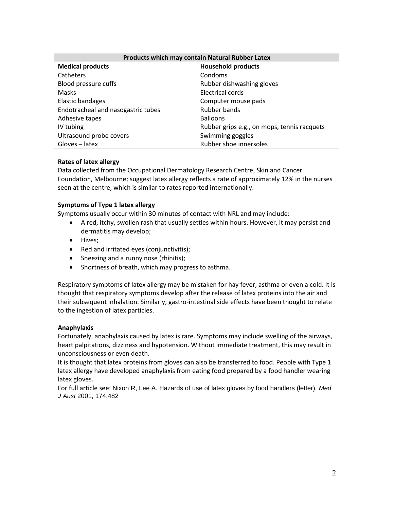| Products which may contain Natural Rubber Latex |                                             |  |
|-------------------------------------------------|---------------------------------------------|--|
| <b>Medical products</b>                         | <b>Household products</b>                   |  |
| Catheters                                       | Condoms                                     |  |
| Blood pressure cuffs                            | Rubber dishwashing gloves                   |  |
| <b>Masks</b>                                    | Electrical cords                            |  |
| Elastic bandages                                | Computer mouse pads                         |  |
| Endotracheal and nasogastric tubes              | Rubber bands                                |  |
| Adhesive tapes                                  | <b>Balloons</b>                             |  |
| IV tubing                                       | Rubber grips e.g., on mops, tennis racquets |  |
| Ultrasound probe covers                         | Swimming goggles                            |  |
| Gloves - latex                                  | Rubber shoe innersoles                      |  |

## **Rates of latex allergy**

Data collected from the Occupational Dermatology Research Centre, Skin and Cancer Foundation, Melbourne; suggest latex allergy reflects a rate of approximately 12% in the nurses seen at the centre, which is similar to rates reported internationally.

## **Symptoms of Type 1 latex allergy**

Symptoms usually occur within 30 minutes of contact with NRL and may include:

- A red, itchy, swollen rash that usually settles within hours. However, it may persist and dermatitis may develop;
- Hives;
- Red and irritated eyes (conjunctivitis);
- Sneezing and a runny nose (rhinitis);
- Shortness of breath, which may progress to asthma.

Respiratory symptoms of latex allergy may be mistaken for hay fever, asthma or even a cold. It is thought that respiratory symptoms develop after the release of latex proteins into the air and their subsequent inhalation. Similarly, gastro-intestinal side effects have been thought to relate to the ingestion of latex particles.

#### **Anaphylaxis**

Fortunately, anaphylaxis caused by latex is rare. Symptoms may include swelling of the airways, heart palpitations, dizziness and hypotension. Without immediate treatment, this may result in unconsciousness or even death.

It is thought that latex proteins from gloves can also be transferred to food. People with Type 1 latex allergy have developed anaphylaxis from eating food prepared by a food handler wearing latex gloves.

For full article see: Nixon R, Lee A. Hazards of use of latex gloves by food handlers (letter)*. Med J Aust* 2001; 174:482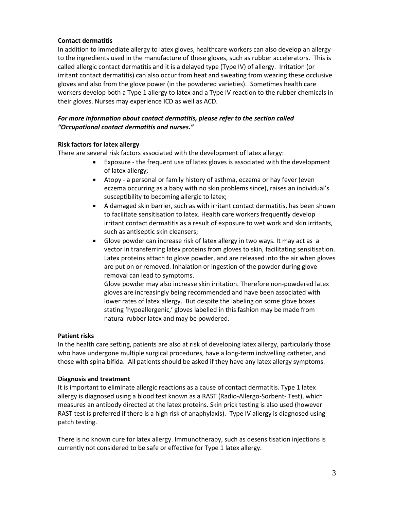## **Contact dermatitis**

In addition to immediate allergy to latex gloves, healthcare workers can also develop an allergy to the ingredients used in the manufacture of these gloves, such as rubber accelerators. This is called allergic contact dermatitis and it is a delayed type (Type IV) of allergy. Irritation (or irritant contact dermatitis) can also occur from heat and sweating from wearing these occlusive gloves and also from the glove power (in the powdered varieties). Sometimes health care workers develop both a Type 1 allergy to latex and a Type IV reaction to the rubber chemicals in their gloves. Nurses may experience ICD as well as ACD.

#### *For more information about contact dermatitis, please refer to the section called "Occupational contact dermatitis and nurses."*

#### **Risk factors for latex allergy**

There are several risk factors associated with the development of latex allergy:

- Exposure the frequent use of latex gloves is associated with the development of latex allergy;
- Atopy a personal or family history of asthma, eczema or hay fever (even eczema occurring as a baby with no skin problems since), raises an individual's susceptibility to becoming allergic to latex;
- A damaged skin barrier, such as with irritant contact dermatitis, has been shown to facilitate sensitisation to latex. Health care workers frequently develop irritant contact dermatitis as a result of exposure to wet work and skin irritants, such as antiseptic skin cleansers;
- Glove powder can increase risk of latex allergy in two ways. It may act as a vector in transferring latex proteins from gloves to skin, facilitating sensitisation. Latex proteins attach to glove powder, and are released into the air when gloves are put on or removed. Inhalation or ingestion of the powder during glove removal can lead to symptoms.

Glove powder may also increase skin irritation. Therefore non-powdered latex gloves are increasingly being recommended and have been associated with lower rates of latex allergy. But despite the labeling on some glove boxes stating 'hypoallergenic,' gloves labelled in this fashion may be made from natural rubber latex and may be powdered.

#### **Patient risks**

In the health care setting, patients are also at risk of developing latex allergy, particularly those who have undergone multiple surgical procedures, have a long-term indwelling catheter, and those with spina bifida. All patients should be asked if they have any latex allergy symptoms.

#### **Diagnosis and treatment**

It is important to eliminate allergic reactions as a cause of contact dermatitis. Type 1 latex allergy is diagnosed using a blood test known as a RAST (Radio-Allergo-Sorbent- Test), which measures an antibody directed at the latex proteins. Skin prick testing is also used (however RAST test is preferred if there is a high risk of anaphylaxis). Type IV allergy is diagnosed using patch testing.

There is no known cure for latex allergy. Immunotherapy, such as desensitisation injections is currently not considered to be safe or effective for Type 1 latex allergy.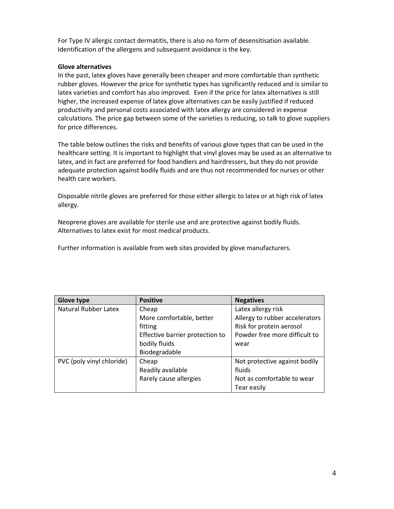For Type IV allergic contact dermatitis, there is also no form of desensitisation available. Identification of the allergens and subsequent avoidance is the key.

#### **Glove alternatives**

In the past, latex gloves have generally been cheaper and more comfortable than synthetic rubber gloves. However the price for synthetic types has significantly reduced and is similar to latex varieties and comfort has also improved. Even if the price for latex alternatives is still higher, the increased expense of latex glove alternatives can be easily justified if reduced productivity and personal costs associated with latex allergy are considered in expense calculations. The price gap between some of the varieties is reducing, so talk to glove suppliers for price differences.

The table below outlines the risks and benefits of various glove types that can be used in the healthcare setting. It is important to highlight that vinyl gloves may be used as an alternative to latex, and in fact are preferred for food handlers and hairdressers, but they do not provide adequate protection against bodily fluids and are thus not recommended for nurses or other health care workers.

Disposable nitrile gloves are preferred for those either allergic to latex or at high risk of latex allergy.

Neoprene gloves are available for sterile use and are protective against bodily fluids. Alternatives to latex exist for most medical products.

Further information is available from web sites provided by glove manufacturers.

| Glove type                  | <b>Positive</b>                 | <b>Negatives</b>               |
|-----------------------------|---------------------------------|--------------------------------|
| <b>Natural Rubber Latex</b> | Cheap                           | Latex allergy risk             |
|                             | More comfortable, better        | Allergy to rubber accelerators |
|                             | fitting                         | Risk for protein aerosol       |
|                             | Effective barrier protection to | Powder free more difficult to  |
|                             | bodily fluids                   | wear                           |
|                             | Biodegradable                   |                                |
| PVC (poly vinyl chloride)   | Cheap                           | Not protective against bodily  |
|                             | Readily available               | fluids                         |
|                             | Rarely cause allergies          | Not as comfortable to wear     |
|                             |                                 | Tear easily                    |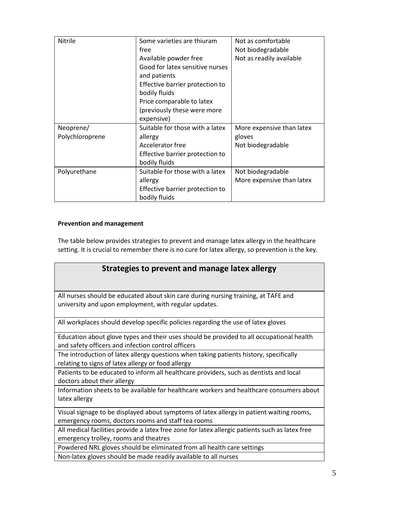| Nitrile                      | Some varieties are thiuram<br>free<br>Available powder free<br>Good for latex sensitive nurses<br>and patients<br>Effective barrier protection to<br>bodily fluids<br>Price comparable to latex<br>(previously these were more<br>expensive) | Not as comfortable<br>Not biodegradable<br>Not as readily available |
|------------------------------|----------------------------------------------------------------------------------------------------------------------------------------------------------------------------------------------------------------------------------------------|---------------------------------------------------------------------|
| Neoprene/<br>Polychloroprene | Suitable for those with a latex<br>allergy<br>Accelerator free<br>Effective barrier protection to<br>bodily fluids                                                                                                                           | More expensive than latex<br>gloves<br>Not biodegradable            |
| Polyurethane                 | Suitable for those with a latex<br>allergy<br>Effective barrier protection to<br>bodily fluids                                                                                                                                               | Not biodegradable<br>More expensive than latex                      |

## **Prevention and management**

The table below provides strategies to prevent and manage latex allergy in the healthcare setting. It is crucial to remember there is no cure for latex allergy, so prevention is the key.

| Strategies to prevent and manage latex allergy                                                                                                 |
|------------------------------------------------------------------------------------------------------------------------------------------------|
| All nurses should be educated about skin care during nursing training, at TAFE and<br>university and upon employment, with regular updates.    |
| All workplaces should develop specific policies regarding the use of latex gloves                                                              |
| Education about glove types and their uses should be provided to all occupational health<br>and safety officers and infection control officers |
| The introduction of latex allergy questions when taking patients history, specifically<br>relating to signs of latex allergy or food allergy   |
| Patients to be educated to inform all healthcare providers, such as dentists and local<br>doctors about their allergy                          |
| Information sheets to be available for healthcare workers and healthcare consumers about<br>latex allergy                                      |
| Visual signage to be displayed about symptoms of latex allergy in patient waiting rooms,<br>emergency rooms, doctors rooms and staff tea rooms |
| All medical facilities provide a latex free zone for latex allergic patients such as latex free<br>emergency trolley, rooms and theatres       |
| Powdered NRL gloves should be eliminated from all health care settings                                                                         |
| Non-latex gloves should be made readily available to all nurses                                                                                |